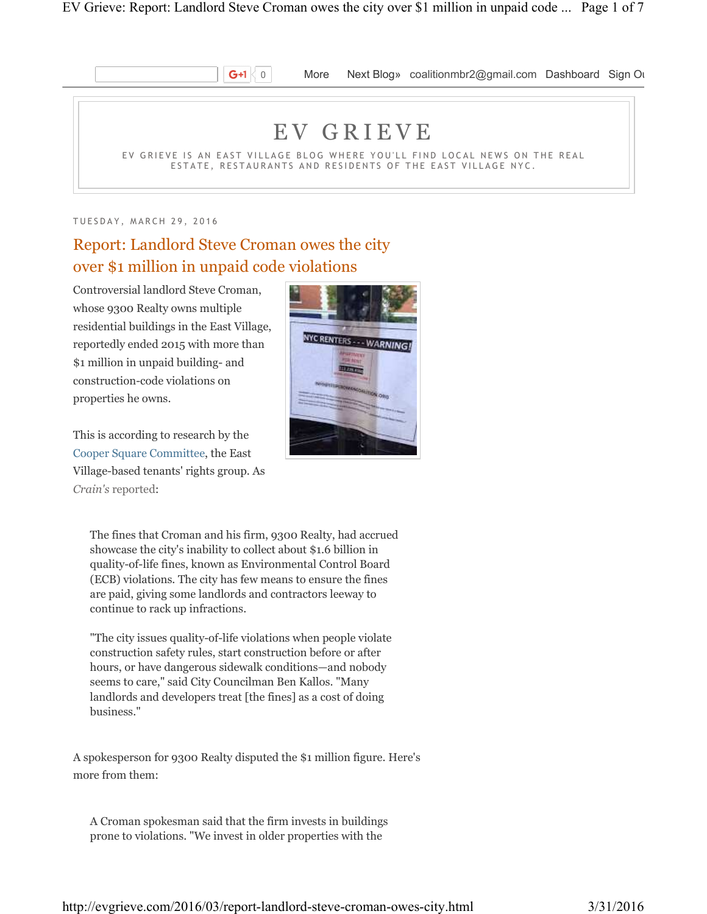

**G+1**  $\begin{bmatrix} 0 \\ 0 \end{bmatrix}$  More Next Blog» coalitionmbr2@gmail.com Dashboard Sign Ou

# E V G R I E V E

EV GRIEVE IS AN EAST VILLAGE BLOG WHERE YOU'LL FIND LOCAL NEWS ON THE REAL ESTATE, RESTAURANTS AND RESIDENTS OF THE EAST VILLAGE NYC.

TUESDAY, MARCH 29, 2016

# Report: Landlord Steve Croman owes the city over \$1 million in unpaid code violations

Controversial landlord Steve Croman, whose 9300 Realty owns multiple residential buildings in the East Village, reportedly ended 2015 with more than \$1 million in unpaid building- and construction-code violations on properties he owns.

This is according to research by the Cooper Square Committee, the East Village-based tenants' rights group. As *Crain's* reported:



The fines that Croman and his firm, 9300 Realty, had accrued showcase the city's inability to collect about \$1.6 billion in quality-of-life fines, known as Environmental Control Board (ECB) violations. The city has few means to ensure the fines are paid, giving some landlords and contractors leeway to continue to rack up infractions.

"The city issues quality-of-life violations when people violate construction safety rules, start construction before or after hours, or have dangerous sidewalk conditions—and nobody seems to care," said City Councilman Ben Kallos. "Many landlords and developers treat [the fines] as a cost of doing business."

A spokesperson for 9300 Realty disputed the \$1 million figure. Here's more from them:

A Croman spokesman said that the firm invests in buildings prone to violations. "We invest in older properties with the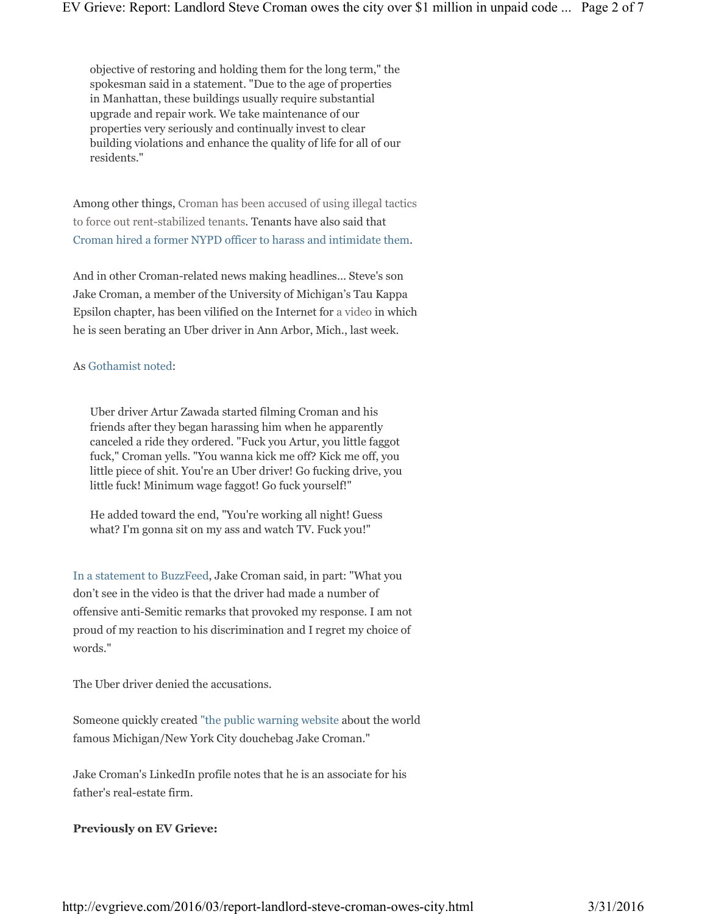objective of restoring and holding them for the long term," the spokesman said in a statement. "Due to the age of properties in Manhattan, these buildings usually require substantial upgrade and repair work. We take maintenance of our properties very seriously and continually invest to clear building violations and enhance the quality of life for all of our residents."

Among other things, Croman has been accused of using illegal tactics to force out rent-stabilized tenants. Tenants have also said that Croman hired a former NYPD officer to harass and intimidate them.

And in other Croman-related news making headlines... Steve's son Jake Croman, a member of the University of Michigan's Tau Kappa Epsilon chapter, has been vilified on the Internet for a video in which he is seen berating an Uber driver in Ann Arbor, Mich., last week.

#### As Gothamist noted:

Uber driver Artur Zawada started filming Croman and his friends after they began harassing him when he apparently canceled a ride they ordered. "Fuck you Artur, you little faggot fuck," Croman yells. "You wanna kick me off? Kick me off, you little piece of shit. You're an Uber driver! Go fucking drive, you little fuck! Minimum wage faggot! Go fuck yourself!"

He added toward the end, "You're working all night! Guess what? I'm gonna sit on my ass and watch TV. Fuck you!"

In a statement to BuzzFeed, Jake Croman said, in part: "What you don't see in the video is that the driver had made a number of offensive anti-Semitic remarks that provoked my response. I am not proud of my reaction to his discrimination and I regret my choice of words."

The Uber driver denied the accusations.

Someone quickly created "the public warning website about the world famous Michigan/New York City douchebag Jake Croman."

Jake Croman's LinkedIn profile notes that he is an associate for his father's real-estate firm.

#### **Previously on EV Grieve:**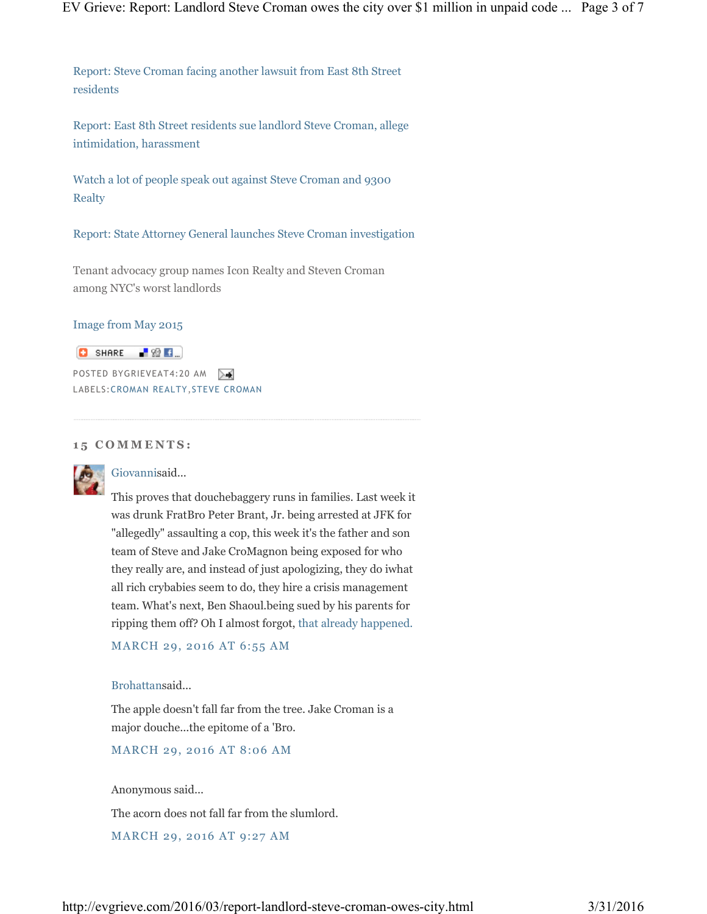Report: Steve Croman facing another lawsuit from East 8th Street residents

Report: East 8th Street residents sue landlord Steve Croman, allege intimidation, harassment

Watch a lot of people speak out against Steve Croman and 9300 Realty

Report: State Attorney General launches Steve Croman investigation

Tenant advocacy group names Icon Realty and Steven Croman among NYC's worst landlords

#### Image from May 2015



POSTED BYGRIEVEAT4:20 AM LABELS:CROMAN REALTY,STEVE CROMAN

#### **1 5 C O M M E N T S :**



Giovannisaid...

This proves that douchebaggery runs in families. Last week it was drunk FratBro Peter Brant, Jr. being arrested at JFK for "allegedly" assaulting a cop, this week it's the father and son team of Steve and Jake CroMagnon being exposed for who they really are, and instead of just apologizing, they do iwhat all rich crybabies seem to do, they hire a crisis management team. What's next, Ben Shaoul.being sued by his parents for ripping them off? Oh I almost forgot, that already happened.

MARCH 29, 2016 AT 6:55 AM

#### Brohattansaid...

The apple doesn't fall far from the tree. Jake Croman is a major douche...the epitome of a 'Bro.

MARCH 29, 2016 AT 8:06 AM

Anonymous said...

The acorn does not fall far from the slumlord.

MARCH 29, 2016 AT 9:27 AM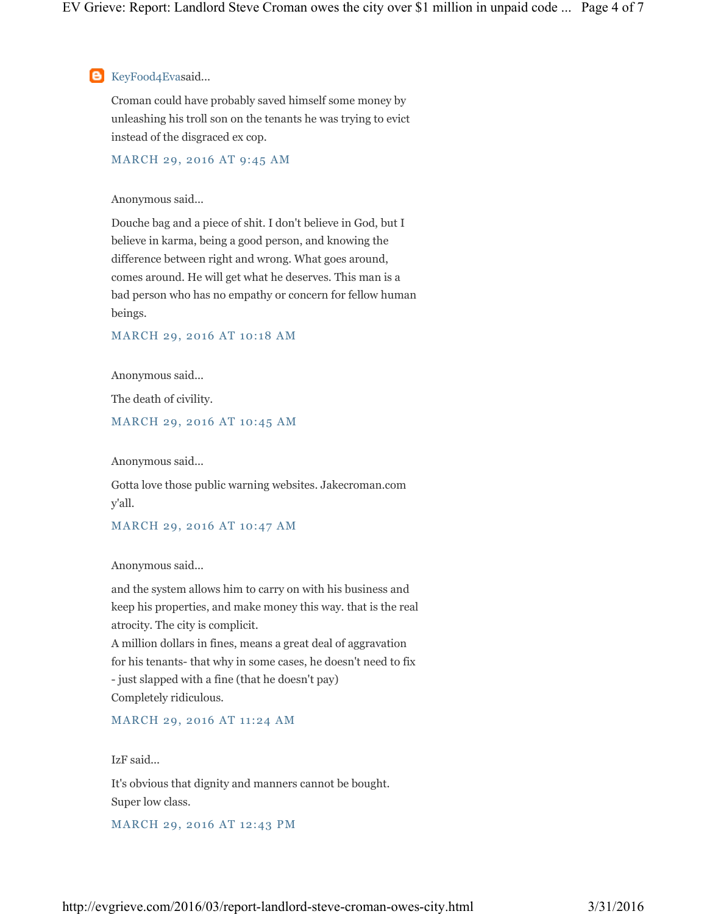**B** KeyFood4Evasaid...

Croman could have probably saved himself some money by unleashing his troll son on the tenants he was trying to evict instead of the disgraced ex cop.

MARCH 29, 2016 AT 9:45 AM

# Anonymous said...

Douche bag and a piece of shit. I don't believe in God, but I believe in karma, being a good person, and knowing the difference between right and wrong. What goes around, comes around. He will get what he deserves. This man is a bad person who has no empathy or concern for fellow human beings.

# MARCH 29, 2016 AT 10:18 AM

Anonymous said...

The death of civility.

#### MARCH 29, 2016 AT 10:45 AM

Anonymous said...

Gotta love those public warning websites. Jakecroman.com y'all.

#### MARCH 29, 2016 AT 10:47 AM

Anonymous said...

and the system allows him to carry on with his business and keep his properties, and make money this way. that is the real atrocity. The city is complicit. A million dollars in fines, means a great deal of aggravation for his tenants- that why in some cases, he doesn't need to fix - just slapped with a fine (that he doesn't pay) Completely ridiculous.

# MARCH 29, 2016 AT 11:24 AM

IzF said...

It's obvious that dignity and manners cannot be bought. Super low class.

MARCH 29, 2016 AT 12:43 PM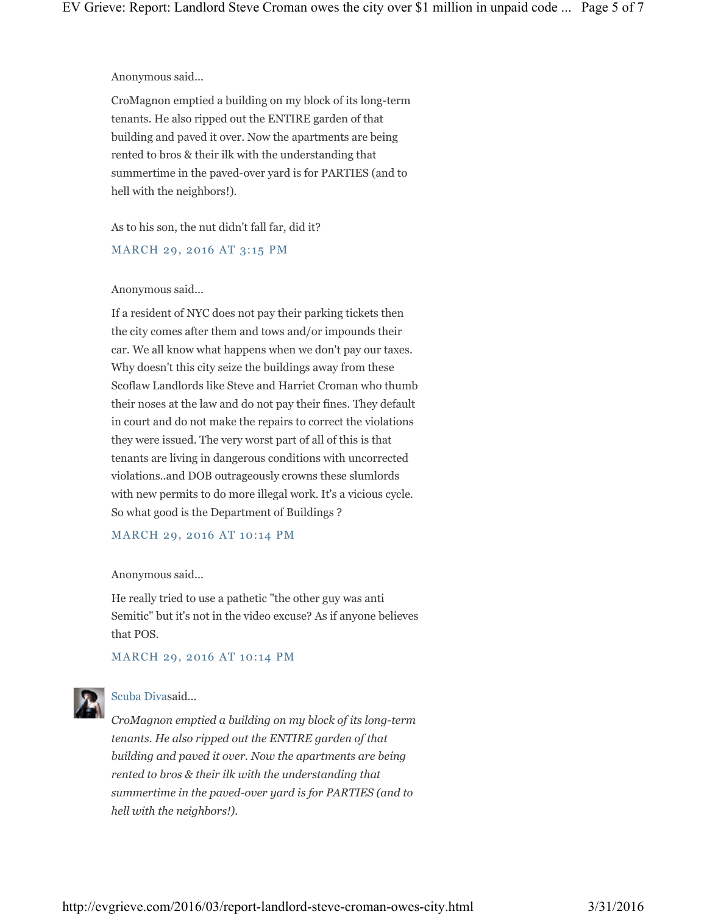Anonymous said...

CroMagnon emptied a building on my block of its long-term tenants. He also ripped out the ENTIRE garden of that building and paved it over. Now the apartments are being rented to bros & their ilk with the understanding that summertime in the paved-over yard is for PARTIES (and to hell with the neighbors!).

As to his son, the nut didn't fall far, did it?

MARCH 29, 2016 AT 3:15 PM

#### Anonymous said...

If a resident of NYC does not pay their parking tickets then the city comes after them and tows and/or impounds their car. We all know what happens when we don't pay our taxes. Why doesn't this city seize the buildings away from these Scoflaw Landlords like Steve and Harriet Croman who thumb their noses at the law and do not pay their fines. They default in court and do not make the repairs to correct the violations they were issued. The very worst part of all of this is that tenants are living in dangerous conditions with uncorrected violations..and DOB outrageously crowns these slumlords with new permits to do more illegal work. It's a vicious cycle. So what good is the Department of Buildings ?

#### MARCH 29, 2016 AT 10:14 PM

Anonymous said...

He really tried to use a pathetic "the other guy was anti Semitic" but it's not in the video excuse? As if anyone believes that POS.

# MARCH 29, 2016 AT 10:14 PM



# Scuba Divasaid...

*CroMagnon emptied a building on my block of its long-term tenants. He also ripped out the ENTIRE garden of that building and paved it over. Now the apartments are being rented to bros & their ilk with the understanding that summertime in the paved-over yard is for PARTIES (and to hell with the neighbors!).*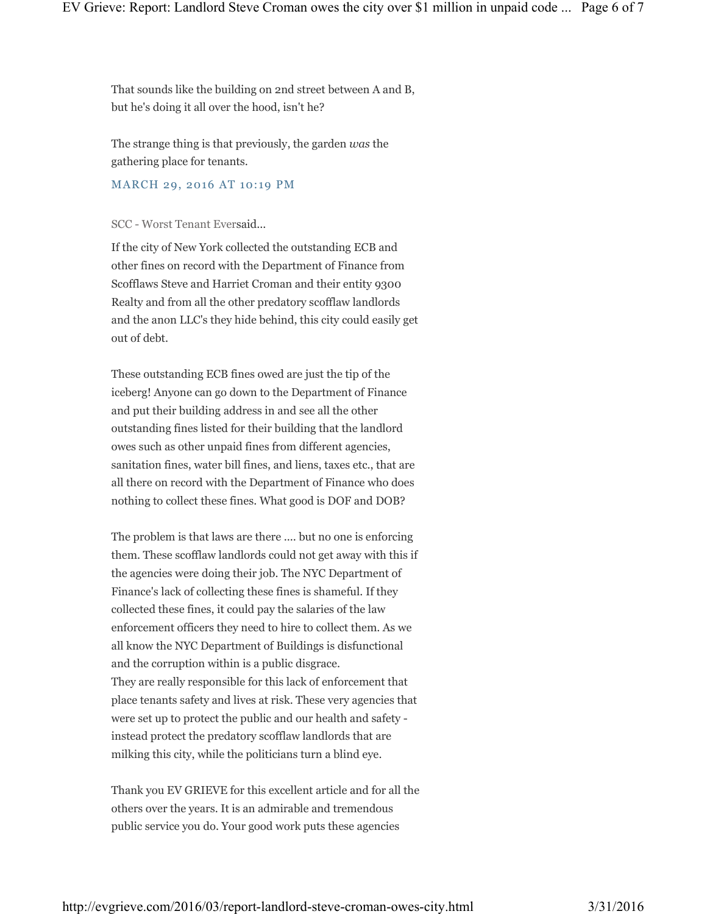That sounds like the building on 2nd street between A and B, but he's doing it all over the hood, isn't he?

The strange thing is that previously, the garden *was* the gathering place for tenants.

# MARCH 29, 2016 AT 10:19 PM

#### SCC - Worst Tenant Eversaid...

If the city of New York collected the outstanding ECB and other fines on record with the Department of Finance from Scofflaws Steve and Harriet Croman and their entity 9300 Realty and from all the other predatory scofflaw landlords and the anon LLC's they hide behind, this city could easily get out of debt.

These outstanding ECB fines owed are just the tip of the iceberg! Anyone can go down to the Department of Finance and put their building address in and see all the other outstanding fines listed for their building that the landlord owes such as other unpaid fines from different agencies, sanitation fines, water bill fines, and liens, taxes etc., that are all there on record with the Department of Finance who does nothing to collect these fines. What good is DOF and DOB?

The problem is that laws are there .... but no one is enforcing them. These scofflaw landlords could not get away with this if the agencies were doing their job. The NYC Department of Finance's lack of collecting these fines is shameful. If they collected these fines, it could pay the salaries of the law enforcement officers they need to hire to collect them. As we all know the NYC Department of Buildings is disfunctional and the corruption within is a public disgrace. They are really responsible for this lack of enforcement that place tenants safety and lives at risk. These very agencies that were set up to protect the public and our health and safety instead protect the predatory scofflaw landlords that are milking this city, while the politicians turn a blind eye.

Thank you EV GRIEVE for this excellent article and for all the others over the years. It is an admirable and tremendous public service you do. Your good work puts these agencies